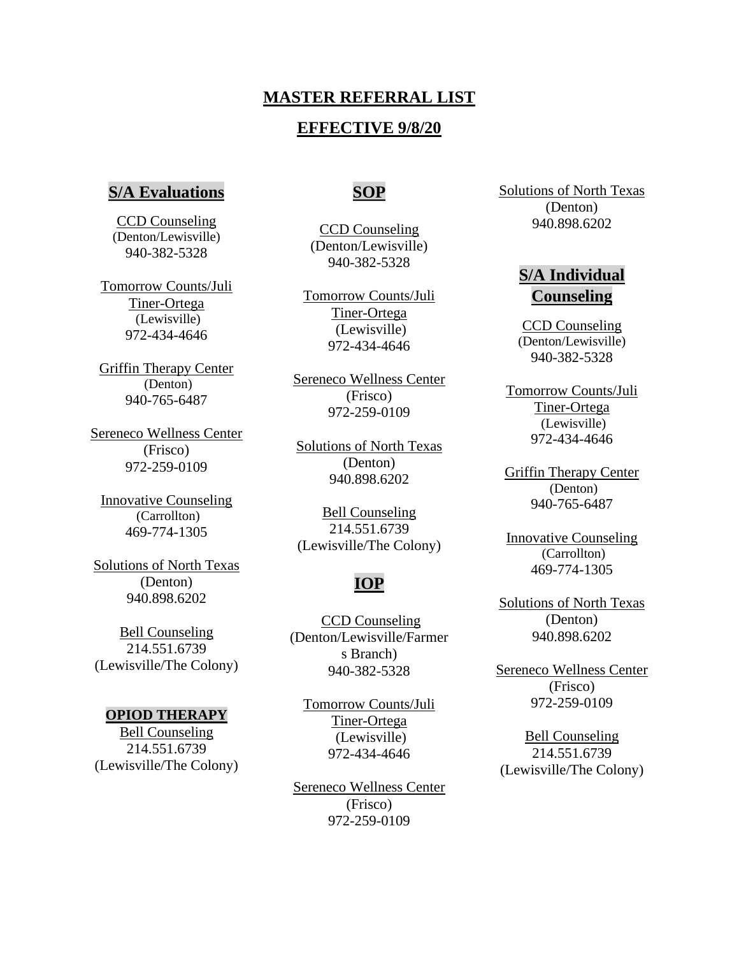## **MASTER REFERRAL LIST**

## **EFFECTIVE 9/8/20**

### **S/A Evaluations**

CCD Counseling (Denton/Lewisville) 940-382-5328

Tomorrow Counts/Juli Tiner-Ortega (Lewisville) 972-434-4646

Griffin Therapy Center (Denton) 940-765-6487

Sereneco Wellness Center (Frisco) 972-259-0109

Innovative Counseling (Carrollton) 469-774-1305

Solutions of North Texas (Denton) 940.898.6202

Bell Counseling 214.551.6739 (Lewisville/The Colony)

#### **OPIOD THERAPY**

Bell Counseling 214.551.6739 (Lewisville/The Colony)

## **SOP**

CCD Counseling (Denton/Lewisville) 940-382-5328

Tomorrow Counts/Juli Tiner-Ortega (Lewisville) 972-434-4646

Sereneco Wellness Center (Frisco) 972-259-0109

Solutions of North Texas (Denton) 940.898.6202

Bell Counseling 214.551.6739 (Lewisville/The Colony)

## **IOP**

CCD Counseling (Denton/Lewisville/Farmer s Branch) 940-382-5328

Tomorrow Counts/Juli Tiner-Ortega (Lewisville) 972-434-4646

Sereneco Wellness Center (Frisco) 972-259-0109

Solutions of North Texas (Denton) 940.898.6202

# **S/A Individual Counseling**

CCD Counseling (Denton/Lewisville) 940-382-5328

Tomorrow Counts/Juli Tiner-Ortega (Lewisville) 972-434-4646

Griffin Therapy Center (Denton) 940-765-6487

Innovative Counseling (Carrollton) 469-774-1305

Solutions of North Texas (Denton) 940.898.6202

Sereneco Wellness Center (Frisco) 972-259-0109

Bell Counseling 214.551.6739 (Lewisville/The Colony)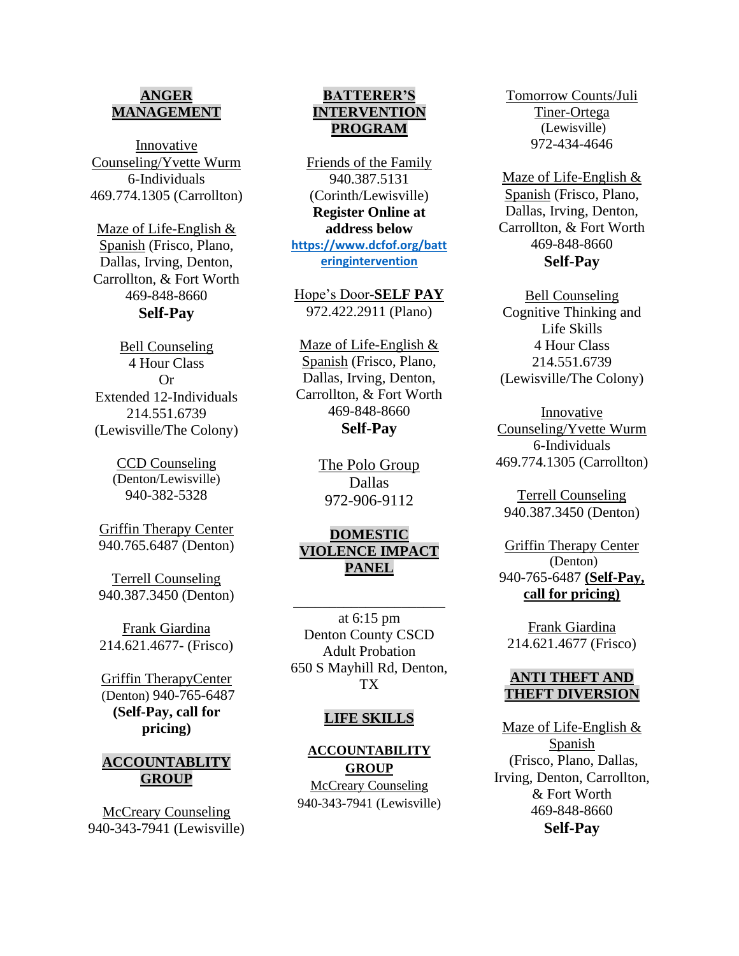### **ANGER MANAGEMENT**

Innovative Counseling/Yvette Wurm 6-Individuals 469.774.1305 (Carrollton)

Maze of Life-English & Spanish (Frisco, Plano, Dallas, Irving, Denton, Carrollton, & Fort Worth 469-848-8660 **Self-Pay**

Bell Counseling 4 Hour Class Or Extended 12-Individuals 214.551.6739 (Lewisville/The Colony)

> CCD Counseling (Denton/Lewisville) 940-382-5328

Griffin Therapy Center 940.765.6487 (Denton)

Terrell Counseling 940.387.3450 (Denton)

Frank Giardina 214.621.4677- (Frisco)

Griffin TherapyCenter (Denton) 940-765-6487 **(Self-Pay, call for pricing)**

#### **ACCOUNTABLITY GROUP**

McCreary Counseling 940-343-7941 (Lewisville)

#### **BATTERER'S INTERVENTION PROGRAM**

Friends of the Family 940.387.5131 (Corinth/Lewisville) **Register Online at address below [https://www.dcfof.org/batt](https://www.dcfof.org/batteringintervention) [eringintervention](https://www.dcfof.org/batteringintervention)**

Hope's Door-**SELF PAY** 972.422.2911 (Plano)

Maze of Life-English & Spanish (Frisco, Plano, Dallas, Irving, Denton, Carrollton, & Fort Worth 469-848-8660 **Self-Pay**

> The Polo Group Dallas 972-906-9112

### **DOMESTIC VIOLENCE IMPACT PANEL**

\_\_\_\_\_\_\_\_\_\_\_\_\_\_\_\_\_\_\_\_\_

at 6:15 pm Denton County CSCD Adult Probation 650 S Mayhill Rd, Denton, TX

#### **LIFE SKILLS**

#### **ACCOUNTABILITY GROUP**

McCreary Counseling 940-343-7941 (Lewisville) Tomorrow Counts/Juli Tiner-Ortega (Lewisville) 972-434-4646

Maze of Life-English & Spanish (Frisco, Plano, Dallas, Irving, Denton, Carrollton, & Fort Worth 469-848-8660 **Self-Pay**

Bell Counseling Cognitive Thinking and Life Skills 4 Hour Class 214.551.6739 (Lewisville/The Colony)

Innovative Counseling/Yvette Wurm 6-Individuals 469.774.1305 (Carrollton)

Terrell Counseling 940.387.3450 (Denton)

Griffin Therapy Center (Denton) 940-765-6487 **(Self-Pay, call for pricing)**

Frank Giardina 214.621.4677 (Frisco)

#### **ANTI THEFT AND THEFT DIVERSION**

Maze of Life-English & Spanish (Frisco, Plano, Dallas, Irving, Denton, Carrollton, & Fort Worth 469-848-8660 **Self-Pay**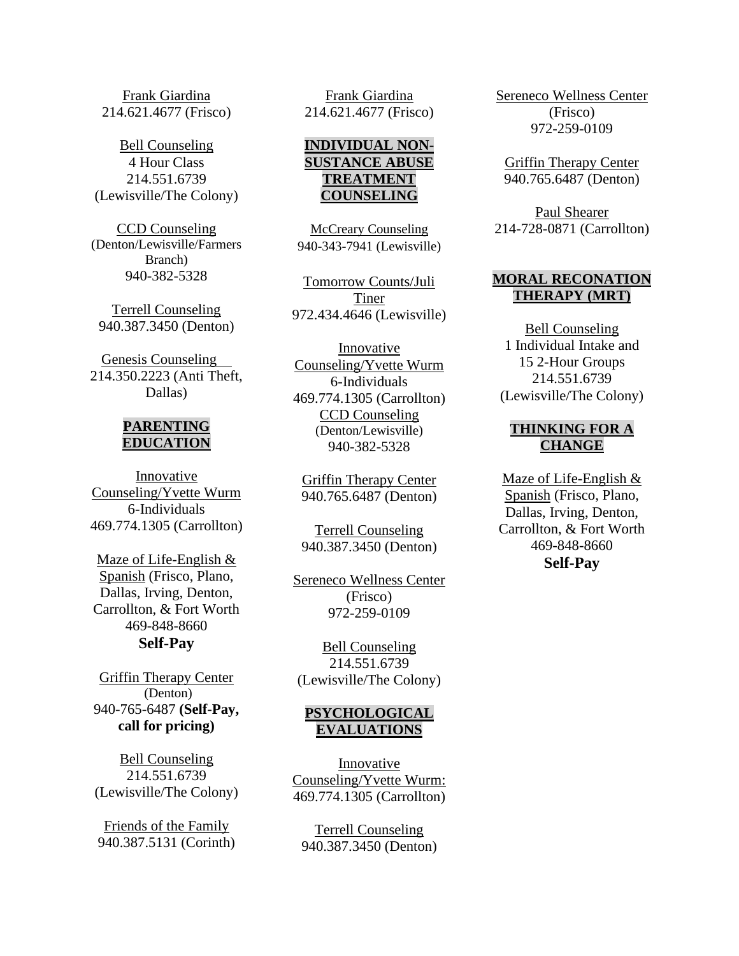Frank Giardina 214.621.4677 (Frisco)

Bell Counseling 4 Hour Class 214.551.6739 (Lewisville/The Colony)

CCD Counseling (Denton/Lewisville/Farmers Branch) 940-382-5328

Terrell Counseling 940.387.3450 (Denton)

Genesis Counseling 214.350.2223 (Anti Theft, Dallas)

#### **PARENTING EDUCATION**

Innovative Counseling/Yvette Wurm 6-Individuals 469.774.1305 (Carrollton)

Maze of Life-English & Spanish (Frisco, Plano, Dallas, Irving, Denton, Carrollton, & Fort Worth 469-848-8660 **Self-Pay**

Griffin Therapy Center (Denton) 940-765-6487 **(Self-Pay, call for pricing)**

Bell Counseling 214.551.6739 (Lewisville/The Colony)

Friends of the Family 940.387.5131 (Corinth)

Frank Giardina 214.621.4677 (Frisco)

## **INDIVIDUAL NON-SUSTANCE ABUSE TREATMENT COUNSELING**

McCreary Counseling 940-343-7941 (Lewisville)

Tomorrow Counts/Juli Tiner 972.434.4646 (Lewisville)

Innovative Counseling/Yvette Wurm 6-Individuals 469.774.1305 (Carrollton) CCD Counseling (Denton/Lewisville) 940-382-5328

Griffin Therapy Center 940.765.6487 (Denton)

Terrell Counseling 940.387.3450 (Denton)

Sereneco Wellness Center (Frisco) 972-259-0109

Bell Counseling 214.551.6739 (Lewisville/The Colony)

### **PSYCHOLOGICAL EVALUATIONS**

Innovative Counseling/Yvette Wurm: 469.774.1305 (Carrollton)

Terrell Counseling 940.387.3450 (Denton) Sereneco Wellness Center (Frisco) 972-259-0109

Griffin Therapy Center 940.765.6487 (Denton)

Paul Shearer 214-728-0871 (Carrollton)

#### **MORAL RECONATION THERAPY (MRT)**

Bell Counseling 1 Individual Intake and 15 2-Hour Groups 214.551.6739 (Lewisville/The Colony)

### **THINKING FOR A CHANGE**

Maze of Life-English & Spanish (Frisco, Plano, Dallas, Irving, Denton, Carrollton, & Fort Worth 469-848-8660 **Self-Pay**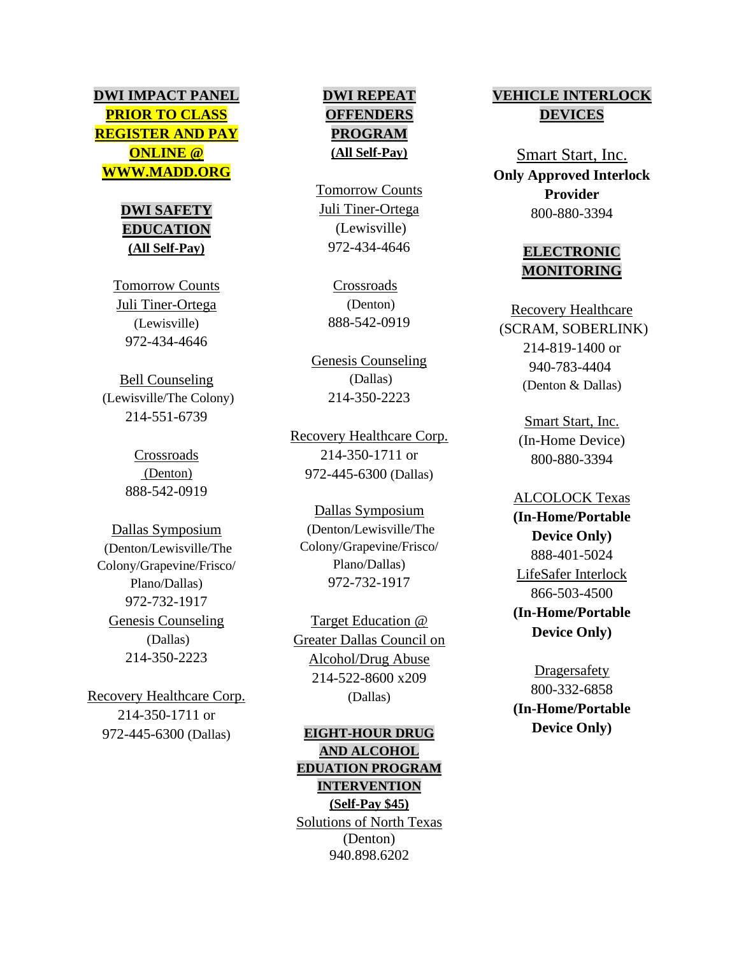# **DWI IMPACT PANEL PRIOR TO CLASS REGISTER AND PAY ONLINE @ WWW.MADD.ORG**

# **DWI SAFETY EDUCATION (All Self-Pay)**

Tomorrow Counts Juli Tiner-Ortega (Lewisville) 972-434-4646

Bell Counseling (Lewisville/The Colony) 214-551-6739

> Crossroads (Denton) 888-542-0919

Dallas Symposium (Denton/Lewisville/The Colony/Grapevine/Frisco/ Plano/Dallas) 972-732-1917 Genesis Counseling (Dallas) 214-350-2223

Recovery Healthcare Corp. 214-350-1711 or 972-445-6300 (Dallas)

## **DWI REPEAT OFFENDERS PROGRAM (All Self-Pay)**

Tomorrow Counts Juli Tiner-Ortega (Lewisville) 972-434-4646

> Crossroads (Denton) 888-542-0919

Genesis Counseling (Dallas) 214-350-2223

Recovery Healthcare Corp. 214-350-1711 or 972-445-6300 (Dallas)

Dallas Symposium (Denton/Lewisville/The Colony/Grapevine/Frisco/ Plano/Dallas) 972-732-1917

Target Education @ Greater Dallas Council on Alcohol/Drug Abuse 214-522-8600 x209 (Dallas)

**EIGHT-HOUR DRUG AND ALCOHOL EDUATION PROGRAM INTERVENTION (Self-Pay \$45)** Solutions of North Texas (Denton) 940.898.6202

# **VEHICLE INTERLOCK DEVICES**

Smart Start, Inc. **Only Approved Interlock Provider** 800-880-3394

# **ELECTRONIC MONITORING**

Recovery Healthcare (SCRAM, SOBERLINK) 214-819-1400 or 940-783-4404 (Denton & Dallas)

> Smart Start, Inc. (In-Home Device) 800-880-3394

ALCOLOCK Texas **(In-Home/Portable Device Only)** 888-401-5024 LifeSafer Interlock 866-503-4500 **(In-Home/Portable Device Only)**

**Dragersafety** 800-332-6858 **(In-Home/Portable Device Only)**